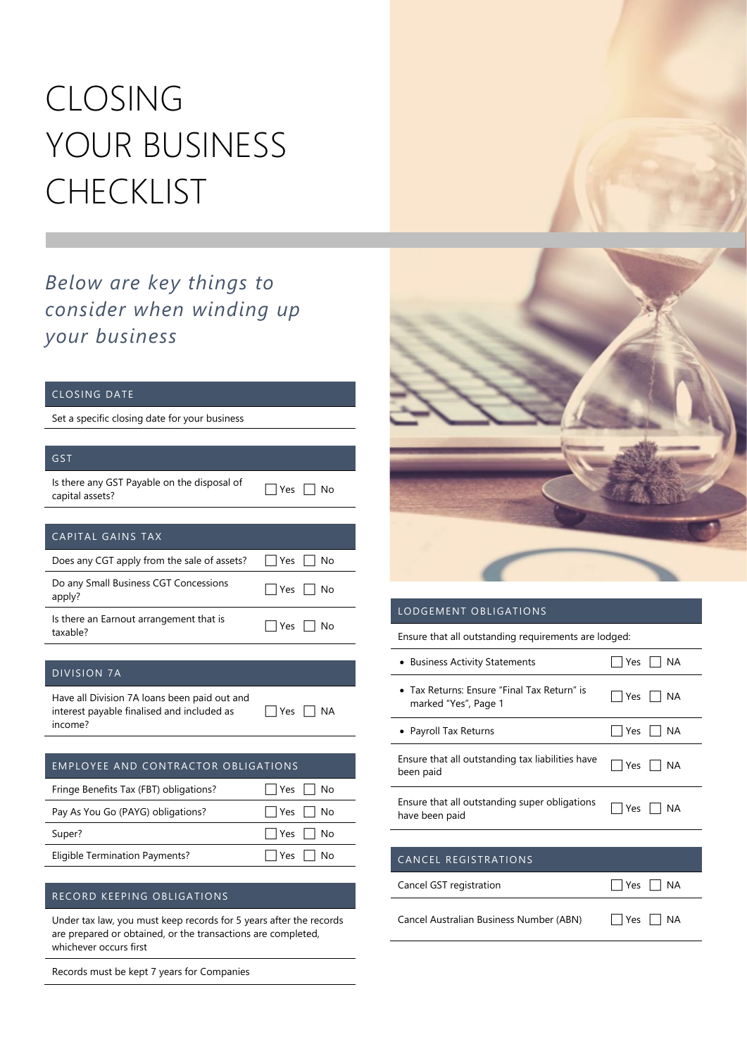# CLOSING YOUR BUSINESS CHECKLIST

### *Below are key things to consider when winding up your business*

#### CLOSING DATE

Set a specific closing date for your business

| GST                                                                                                   |                  |  |
|-------------------------------------------------------------------------------------------------------|------------------|--|
| Is there any GST Payable on the disposal of<br>capital assets?                                        | Yes<br>No        |  |
|                                                                                                       |                  |  |
| CAPITAL GAINS TAX                                                                                     |                  |  |
| Does any CGT apply from the sale of assets?                                                           | Yes<br>No        |  |
| Do any Small Business CGT Concessions<br>apply?                                                       | No<br>Yes        |  |
| Is there an Earnout arrangement that is<br>taxable?                                                   | Yes<br>No        |  |
|                                                                                                       |                  |  |
| <b>DIVISION 7A</b>                                                                                    |                  |  |
| Have all Division 7A loans been paid out and<br>interest payable finalised and included as<br>income? | Yes<br><b>NA</b> |  |
|                                                                                                       |                  |  |
| <b>EMPLOYEE AND CONTRACTOR OBLIGATIONS</b>                                                            |                  |  |
| Fringe Benefits Tax (FBT) obligations?                                                                | No<br>Yes        |  |
| Pay As You Go (PAYG) obligations?                                                                     | No<br>Yes        |  |
| Super?                                                                                                | Yes<br>No        |  |
| <b>Eligible Termination Payments?</b>                                                                 | Yes<br>No        |  |

#### RECORD KEEPING OBLIGATIONS

Under tax law, you must keep records for 5 years after the records are prepared or obtained, or the transactions are completed, whichever occurs first

Records must be kept 7 years for Companies



#### LODGEMENT OBLIGATIONS

Ensure that all outstanding requirements are lodged:

| • Business Activity Statements                                                    | Yes<br>ΝA  |
|-----------------------------------------------------------------------------------|------------|
| • Tax Returns: Ensure "Final Tax Return" is<br>marked "Yes", Page 1               | Yes<br>NA. |
| • Payroll Tax Returns                                                             | Yes<br>ΝA  |
| Ensure that all outstanding tax liabilities have<br>been paid                     | Yes<br>ΝA  |
| Ensure that all outstanding super obligations<br>have been paid                   | Yes<br>ΝA  |
|                                                                                   |            |
| $D$ [ $C$   $C$ T $D$ $\Lambda$ T $ \Lambda$ $\Lambda$   $C$<br>$C$ and $C$ $E$ i |            |

#### CANCEL REGISTRATIONS

| Cancel GST registration | $\Box$ Yes $\Box$ NA |  |
|-------------------------|----------------------|--|
|                         |                      |  |

Cancel Australian Business Number (ABN)  $\Box$  Yes  $\Box$  NA